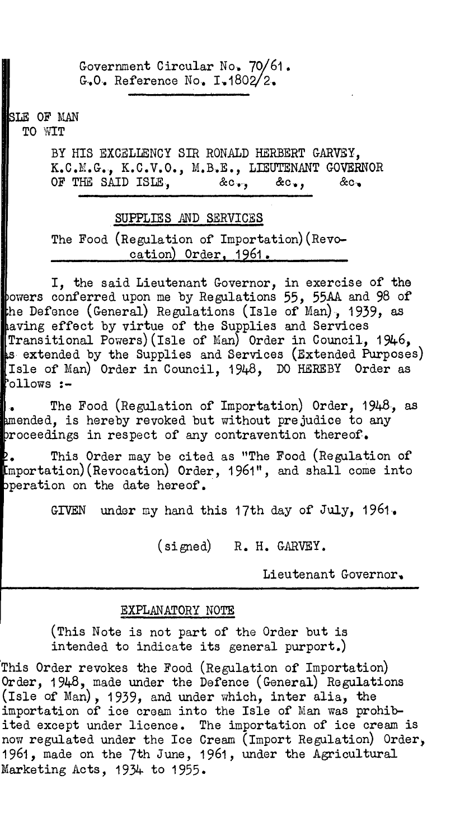Government Circular No. 70/61. G.O. Reference No.  $I.1802/2.$ 

SLE OF MAN

TO WIT

BY HIS EXCELLENCY SIR RONALD HERBERT GARVEY, K.C.M.G., K.C.V.O., M.B.E., LIEUTENANT GOVERNOR OF THE SAID ISLE,  $\&c_{\bullet}$ ,  $\&c_{\bullet}$ ,  $\&c_{\bullet}$ ,  $\&c_{\bullet}$ 

## SUPPLIES AND SERVICES

The Food (Regulation of Importation)(Revocation) Order, 1961.

I, the said Lieutenant Governor, in exercise of the powers conferred upon me by Regulations 55, 55AA and 98 of he Defence (General) Regulations (Isle of Man), 1939, as aving effect by virtue of the Supplies and Services Transitional Powers) (Isle of Man) Order in Council, 1946, extended by the Supplies and Services (Extended Purposes) Isle of Man) Order in Council, 1948, DO HEREBY Order as ollows :-

• The Food (Regulation of Importation) Order, 1948, as amended, is hereby revoked but without prejudice to any  $b$ roceedings in respect of any contravention thereof.

• This Order may be cited as "The Food (Regulation of mportation)(Revocation) Order, 1961", and shall come into peration on the date hereof.

GIVEN under my hand this 17th day of July, 1961.

(signed) R. H. GARVEY.

Lieutenant Governor.

## EXPLANATORY NOTE

(This Note is not part of the Order but is intended to indicate its general purport.)

This Order revokes the Food (Regulation of Importation) Order, 1948, made under the Defence (General) Regulations (Isle of Man), 1939, and under which, inter alia, the importation of ice cream into the Isle of Man was prohibited except under licence. The importation of ice cream is now regulated under the Ice Cream (Import Regulation) Order, 1961, made on the 7th June, 1961, under the Agricultural Marketing Acts, 1934 to 1955.